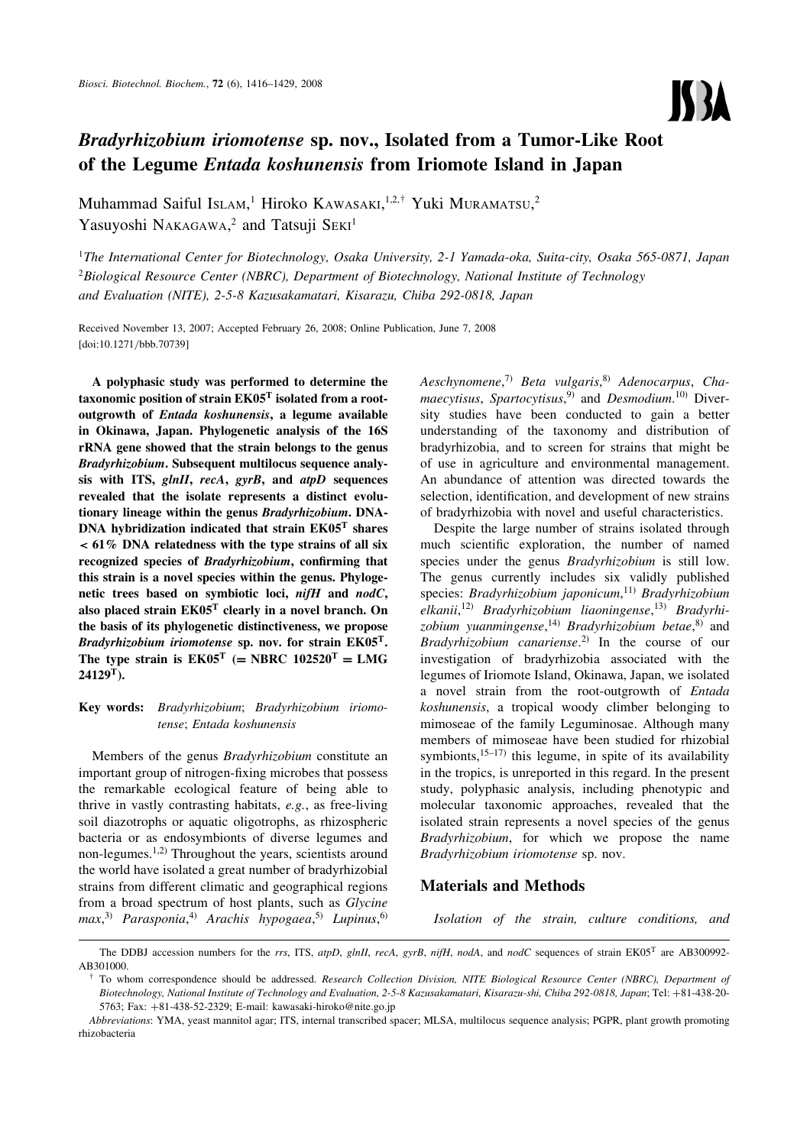

# Bradyrhizobium iriomotense sp. nov., Isolated from a Tumor-Like Root of the Legume Entada koshunensis from Iriomote Island in Japan

Muhammad Saiful Islam,<sup>1</sup> Hiroko Kawasaki, 1,2,† Yuki Muramatsu,<sup>2</sup> Yasuyoshi NAKAGAWA,<sup>2</sup> and Tatsuji SEKI<sup>1</sup>

<sup>1</sup>The International Center for Biotechnology, Osaka University, 2-1 Yamada-oka, Suita-city, Osaka 565-0871, Japan  ${}^{2}$ Biological Resource Center (NBRC), Department of Biotechnology, National Institute of Technology and Evaluation (NITE), 2-5-8 Kazusakamatari, Kisarazu, Chiba 292-0818, Japan

Received November 13, 2007; Accepted February 26, 2008; Online Publication, June 7, 2008 [\[doi:10.1271/bbb.70739\]](http://dx.doi.org/10.1271/bbb.70739)

A polyphasic study was performed to determine the taxonomic position of strain  $EK05<sup>T</sup>$  isolated from a rootoutgrowth of Entada koshunensis, a legume available in Okinawa, Japan. Phylogenetic analysis of the 16S rRNA gene showed that the strain belongs to the genus Bradyrhizobium. Subsequent multilocus sequence analysis with ITS, glnII, recA, gyrB, and atpD sequences revealed that the isolate represents a distinct evolutionary lineage within the genus Bradyrhizobium. DNA-DNA hybridization indicated that strain EK05<sup>T</sup> shares *<* 61% DNA relatedness with the type strains of all six recognized species of Bradyrhizobium, confirming that this strain is a novel species within the genus. Phylogenetic trees based on symbiotic loci, nifH and nodC, also placed strain  $EK05^T$  clearly in a novel branch. On the basis of its phylogenetic distinctiveness, we propose Bradyrhizobium iriomotense sp. nov. for strain  $E K 05^T$ . The type strain is  $EK05^T$  (= NBRC  $102520^T$  = LMG  $24129$ <sup>T</sup>).

# Key words: Bradyrhizobium; Bradyrhizobium iriomotense; Entada koshunensis

Members of the genus Bradyrhizobium constitute an important group of nitrogen-fixing microbes that possess the remarkable ecological feature of being able to thrive in vastly contrasting habitats, e.g., as free-living soil diazotrophs or aquatic oligotrophs, as rhizospheric bacteria or as endosymbionts of diverse legumes and non-legumes.1,2) Throughout the years, scientists around the world have isolated a great number of bradyrhizobial strains from different climatic and geographical regions from a broad spectrum of host plants, such as Glycine max, 3) Parasponia, 4) Arachis hypogaea, 5) Lupinus, 6)

Aeschynomene,<sup>7)</sup> Beta vulgaris,<sup>8)</sup> Adenocarpus, Cha*maecytisus, Spartocytisus*,<sup>9</sup> and *Desmodium*.<sup>10</sup> Diversity studies have been conducted to gain a better understanding of the taxonomy and distribution of bradyrhizobia, and to screen for strains that might be of use in agriculture and environmental management. An abundance of attention was directed towards the selection, identification, and development of new strains of bradyrhizobia with novel and useful characteristics.

Despite the large number of strains isolated through much scientific exploration, the number of named species under the genus Bradyrhizobium is still low. The genus currently includes six validly published species: Bradyrhizobium japonicum,<sup>11)</sup> Bradyrhizobium elkanii,<sup>12)</sup> Bradyrhizobium liaoningense,<sup>13)</sup> Bradyrhizobium yuanmingense,<sup>14)</sup> Bradyrhizobium betae,<sup>8)</sup> and *Bradyrhizobium canariense*.<sup>2)</sup> In the course of our investigation of bradyrhizobia associated with the legumes of Iriomote Island, Okinawa, Japan, we isolated a novel strain from the root-outgrowth of Entada koshunensis, a tropical woody climber belonging to mimoseae of the family Leguminosae. Although many members of mimoseae have been studied for rhizobial symbionts,  $15-17$  this legume, in spite of its availability in the tropics, is unreported in this regard. In the present study, polyphasic analysis, including phenotypic and molecular taxonomic approaches, revealed that the isolated strain represents a novel species of the genus Bradyrhizobium, for which we propose the name Bradyrhizobium iriomotense sp. nov.

# Materials and Methods

Isolation of the strain, culture conditions, and

The DDBJ accession numbers for the rrs, ITS, atpD, glnII, recA, gyrB, nifH, nodA, and nodC sequences of strain EK05<sup>T</sup> are AB300992-AB301000.

 $\dagger$  To whom correspondence should be addressed. Research Collection Division, NITE Biological Resource Center (NBRC), Department of Biotechnology, National Institute of Technology and Evaluation, 2-5-8 Kazusakamatari, Kisarazu-shi, Chiba 292-0818, Japan; Tel: +81-438-20- 5763; Fax: +81-438-52-2329; E-mail: kawasaki-hiroko@nite.go.jp

Abbreviations: YMA, yeast mannitol agar; ITS, internal transcribed spacer; MLSA, multilocus sequence analysis; PGPR, plant growth promoting rhizobacteria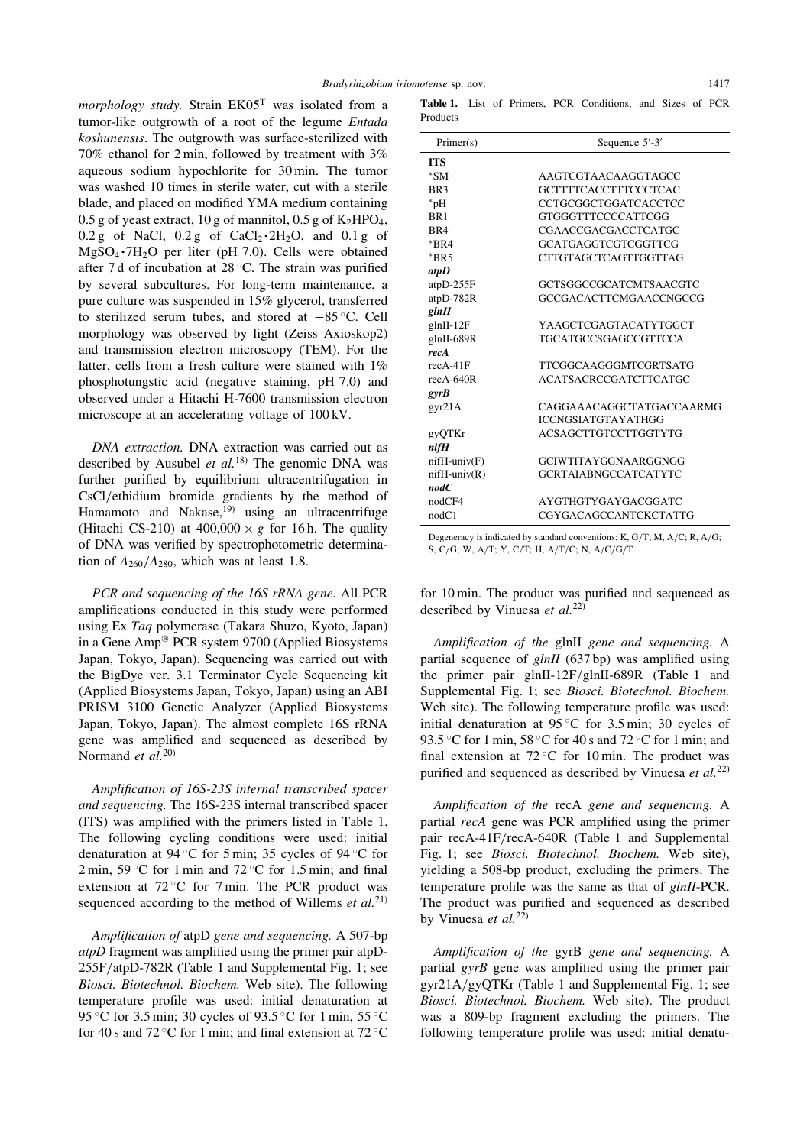morphology study. Strain  $EK05<sup>T</sup>$  was isolated from a tumor-like outgrowth of a root of the legume Entada koshunensis. The outgrowth was surface-sterilized with 70% ethanol for 2 min, followed by treatment with 3% aqueous sodium hypochlorite for 30 min. The tumor was washed 10 times in sterile water, cut with a sterile blade, and placed on modified YMA medium containing 0.5 g of yeast extract, 10 g of mannitol, 0.5 g of  $K_2HPO_4$ ,  $0.2$  g of NaCl,  $0.2$  g of CaCl<sub>2</sub> $\cdot$ 2H<sub>2</sub>O, and  $0.1$  g of  $MgSO_4 \cdot 7H_2O$  per liter (pH 7.0). Cells were obtained after 7 d of incubation at  $28^{\circ}$ C. The strain was purified by several subcultures. For long-term maintenance, a pure culture was suspended in 15% glycerol, transferred to sterilized serum tubes, and stored at  $-85^{\circ}$ C. Cell morphology was observed by light (Zeiss Axioskop2) and transmission electron microscopy (TEM). For the latter, cells from a fresh culture were stained with 1% phosphotungstic acid (negative staining, pH 7.0) and observed under a Hitachi H-7600 transmission electron microscope at an accelerating voltage of 100 kV.

DNA extraction. DNA extraction was carried out as described by Ausubel et  $al$ .<sup>18)</sup> The genomic DNA was further purified by equilibrium ultracentrifugation in CsCl/ethidium bromide gradients by the method of Hamamoto and Nakase, $^{19)}$  using an ultracentrifuge (Hitachi CS-210) at  $400,000 \times g$  for 16 h. The quality of DNA was verified by spectrophotometric determination of  $A_{260}/A_{280}$ , which was at least 1.8.

PCR and sequencing of the 16S rRNA gene. All PCR amplifications conducted in this study were performed using Ex Taq polymerase (Takara Shuzo, Kyoto, Japan) in a Gene Amp<sup>®</sup> PCR system 9700 (Applied Biosystems Japan, Tokyo, Japan). Sequencing was carried out with the BigDye ver. 3.1 Terminator Cycle Sequencing kit (Applied Biosystems Japan, Tokyo, Japan) using an ABI PRISM 3100 Genetic Analyzer (Applied Biosystems Japan, Tokyo, Japan). The almost complete 16S rRNA gene was amplified and sequenced as described by Normand et al.<sup>20)</sup>

Amplification of 16S-23S internal transcribed spacer and sequencing. The 16S-23S internal transcribed spacer (ITS) was amplified with the primers listed in Table 1. The following cycling conditions were used: initial denaturation at 94 °C for 5 min; 35 cycles of 94 °C for  $2 \text{ min}$ ,  $59 \text{ °C}$  for 1 min and  $72 \text{ °C}$  for 1.5 min; and final extension at  $72^{\circ}$ C for 7 min. The PCR product was sequenced according to the method of Willems et  $al$ <sup>21)</sup>

Amplification of atpD gene and sequencing. A 507-bp atpD fragment was amplified using the primer pair atpD-255F/atpD-782R (Table 1 and Supplemental Fig. 1; see Biosci. Biotechnol. Biochem. Web site). The following temperature profile was used: initial denaturation at 95 °C for 3.5 min; 30 cycles of 93.5 °C for 1 min, 55 °C for 40 s and 72 °C for 1 min; and final extension at 72 °C

Table 1. List of Primers, PCR Conditions, and Sizes of PCR Products

| Primary(s)         | Sequence $5'$ -3'             |  |  |  |  |
|--------------------|-------------------------------|--|--|--|--|
| <b>ITS</b>         |                               |  |  |  |  |
| $*SM$              | AAGTCGTAACAAGGTAGCC           |  |  |  |  |
| BR <sub>3</sub>    | GCTTTTCACCTTTCCCTCAC          |  |  |  |  |
| $*_{pH}$           | CCTGCGGCTGGATCACCTCC          |  |  |  |  |
| RR <sub>1</sub>    | GTGGGTTTCCCCATTCGG            |  |  |  |  |
| RR4                | CGAACCGACGACCTCATGC           |  |  |  |  |
| $*RR4$             | GCATGAGGTCGTCGGTTCG           |  |  |  |  |
| $*RR5$             | CTTGTAGCTCAGTTGGTTAG          |  |  |  |  |
| atpD               |                               |  |  |  |  |
| $atpD-255F$        | GCTSGGCCGCATCMTSAACGTC        |  |  |  |  |
| atpD-782R          | <b>GCCGACACTTCMGAACCNGCCG</b> |  |  |  |  |
| glnII              |                               |  |  |  |  |
| $glnII-12F$        | YAAGCTCGAGTACATYTGGCT         |  |  |  |  |
| glnII-689R         | TGCATGCCSGAGCCGTTCCA          |  |  |  |  |
| recA               |                               |  |  |  |  |
| $recA-41F$         | <b>TTCGGCAAGGGMTCGRTSATG</b>  |  |  |  |  |
| $recA-640R$        | <b>ACATSACRCCGATCTTCATGC</b>  |  |  |  |  |
| gyrB               |                               |  |  |  |  |
| gyr21A             | CAGGAAACAGGCTATGACCAARMG      |  |  |  |  |
|                    | <b>ICCNGSIATGTAYATHGG</b>     |  |  |  |  |
| gyQTKr             | ACSAGCTTGTCCTTGGTYTG          |  |  |  |  |
| nifH               |                               |  |  |  |  |
| $n$ ifH-univ $(F)$ | GCIWTITAYGGNAARGGNGG          |  |  |  |  |
| $n$ ifH-univ $(R)$ | <b>GCRTAIABNGCCATCATYTC</b>   |  |  |  |  |
| nodC               |                               |  |  |  |  |
| nodCF4             | AYGTHGTYGAYGACGGATC           |  |  |  |  |
| nodC1              | CGYGACAGCCANTCKCTATTG         |  |  |  |  |

Degeneracy is indicated by standard conventions: K, G/T; M, A/C; R, A/G; S, C/G; W, A/T; Y, C/T; H, A/T/C; N, A/C/G/T.

for 10 min. The product was purified and sequenced as described by Vinuesa et  $al$ .<sup>22)</sup>

Amplification of the glnII gene and sequencing. A partial sequence of *glnII* (637 bp) was amplified using the primer pair glnII-12F/glnII-689R (Table 1 and Supplemental Fig. 1; see Biosci. Biotechnol. Biochem. Web site). The following temperature profile was used: initial denaturation at  $95^{\circ}$ C for 3.5 min; 30 cycles of 93.5 °C for 1 min, 58 °C for 40 s and 72 °C for 1 min; and final extension at  $72^{\circ}$ C for 10 min. The product was purified and sequenced as described by Vinuesa et  $al$ <sup>22)</sup>

Amplification of the recA gene and sequencing. A partial recA gene was PCR amplified using the primer pair recA-41F/recA-640R (Table 1 and Supplemental Fig. 1; see Biosci. Biotechnol. Biochem. Web site), yielding a 508-bp product, excluding the primers. The temperature profile was the same as that of glnII-PCR. The product was purified and sequenced as described by Vinuesa et al.<sup>22)</sup>

Amplification of the gyrB gene and sequencing. A partial gyrB gene was amplified using the primer pair gyr21A/gyQTKr (Table 1 and Supplemental Fig. 1; see Biosci. Biotechnol. Biochem. Web site). The product was a 809-bp fragment excluding the primers. The following temperature profile was used: initial denatu-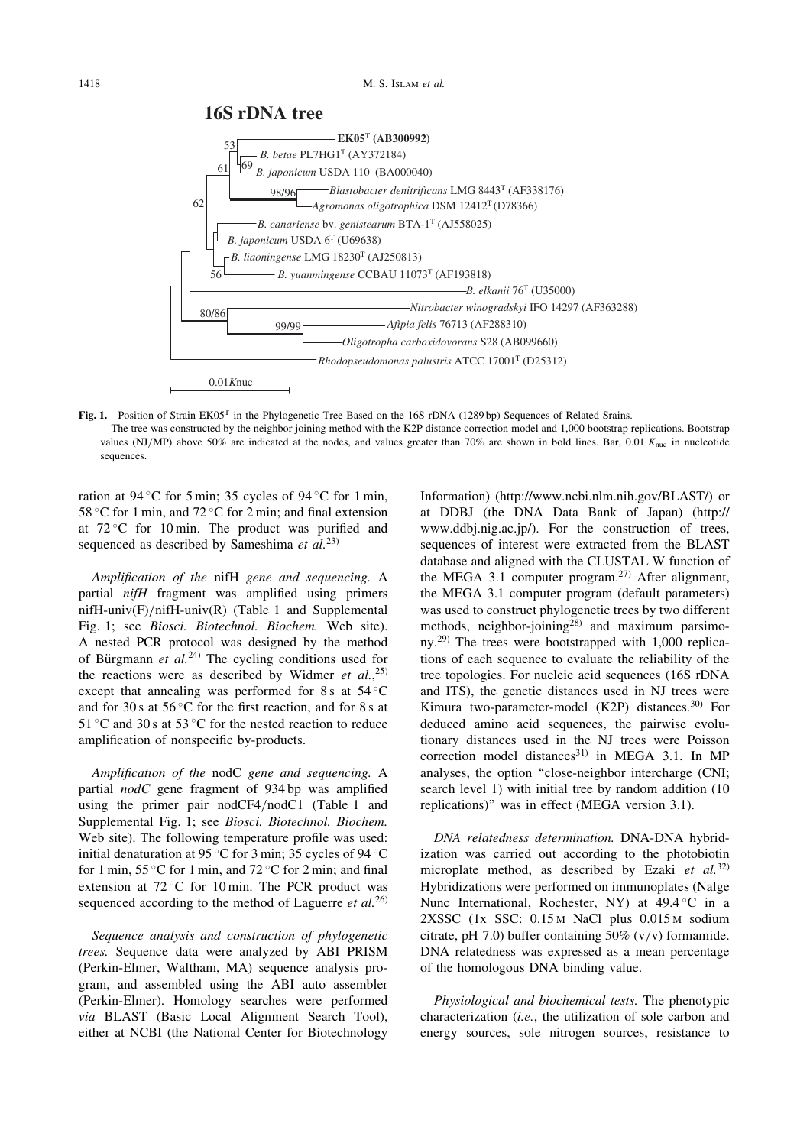

Fig. 1. Position of Strain EK05<sup>T</sup> in the Phylogenetic Tree Based on the 16S rDNA (1289 bp) Sequences of Related Srains. The tree was constructed by the neighbor joining method with the K2P distance correction model and 1,000 bootstrap replications. Bootstrap values (NJ/MP) above 50% are indicated at the nodes, and values greater than 70% are shown in bold lines. Bar, 0.01  $K_{\text{nuc}}$  in nucleotide sequences.

ration at 94 °C for 5 min; 35 cycles of 94 °C for 1 min, 58 °C for 1 min, and 72 °C for 2 min; and final extension at  $72^{\circ}$ C for 10 min. The product was purified and sequenced as described by Sameshima *et al.*<sup>23)</sup>

Amplification of the nifH gene and sequencing. A partial nifH fragment was amplified using primers nifH-univ(F)/nifH-univ(R) (Table 1 and Supplemental Fig. 1; see Biosci. Biotechnol. Biochem. Web site). A nested PCR protocol was designed by the method of Bürgmann et  $al^{(24)}$ . The cycling conditions used for the reactions were as described by Widmer et  $al.$ <sup>25)</sup> except that annealing was performed for 8 s at  $54^{\circ}$ C and for 30 s at  $56^{\circ}$ C for the first reaction, and for 8 s at 51 °C and 30 s at 53 °C for the nested reaction to reduce amplification of nonspecific by-products.

Amplification of the nodC gene and sequencing. A partial nodC gene fragment of 934 bp was amplified using the primer pair nodCF4/nodC1 (Table 1 and Supplemental Fig. 1; see Biosci. Biotechnol. Biochem. Web site). The following temperature profile was used: initial denaturation at 95 °C for 3 min; 35 cycles of 94 °C for 1 min,  $55^{\circ}$ C for 1 min, and  $72^{\circ}$ C for 2 min; and final extension at  $72^{\circ}$ C for 10 min. The PCR product was sequenced according to the method of Laguerre et  $al$ .<sup>26)</sup>

Sequence analysis and construction of phylogenetic trees. Sequence data were analyzed by ABI PRISM (Perkin-Elmer, Waltham, MA) sequence analysis program, and assembled using the ABI auto assembler (Perkin-Elmer). Homology searches were performed via BLAST (Basic Local Alignment Search Tool), either at NCBI (the National Center for Biotechnology Information) (http://www.ncbi.nlm.nih.gov/BLAST/) or at DDBJ (the DNA Data Bank of Japan) (http:// www.ddbj.nig.ac.jp/). For the construction of trees, sequences of interest were extracted from the BLAST database and aligned with the CLUSTAL W function of the MEGA 3.1 computer program.<sup>27)</sup> After alignment, the MEGA 3.1 computer program (default parameters) was used to construct phylogenetic trees by two different methods, neighbor-joining<sup>28)</sup> and maximum parsimony.29) The trees were bootstrapped with 1,000 replications of each sequence to evaluate the reliability of the tree topologies. For nucleic acid sequences (16S rDNA and ITS), the genetic distances used in NJ trees were Kimura two-parameter-model (K2P) distances.<sup>30)</sup> For deduced amino acid sequences, the pairwise evolutionary distances used in the NJ trees were Poisson correction model distances $31$  in MEGA 3.1. In MP analyses, the option ''close-neighbor intercharge (CNI; search level 1) with initial tree by random addition (10 replications)'' was in effect (MEGA version 3.1).

DNA relatedness determination. DNA-DNA hybridization was carried out according to the photobiotin microplate method, as described by Ezaki et  $al$ .<sup>32)</sup> Hybridizations were performed on immunoplates (Nalge Nunc International, Rochester, NY) at  $49.4\degree$ C in a 2XSSC (1x SSC: 0.15 M NaCl plus 0.015 M sodium citrate, pH 7.0) buffer containing  $50\%$  (v/v) formamide. DNA relatedness was expressed as a mean percentage of the homologous DNA binding value.

Physiological and biochemical tests. The phenotypic characterization (i.e., the utilization of sole carbon and energy sources, sole nitrogen sources, resistance to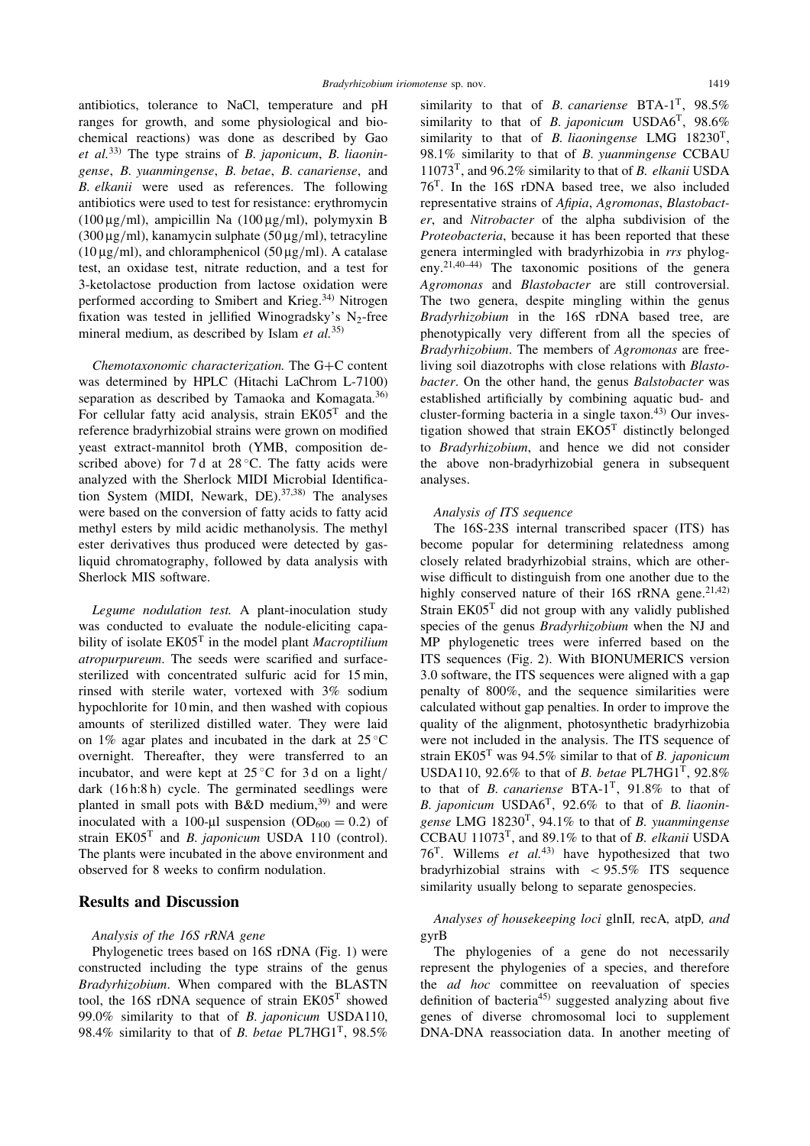antibiotics, tolerance to NaCl, temperature and pH ranges for growth, and some physiological and biochemical reactions) was done as described by Gao et al.<sup>33)</sup> The type strains of *B. japonicum*, *B. liaonin*gense, B. yuanmingense, B. betae, B. canariense, and B. elkanii were used as references. The following antibiotics were used to test for resistance: erythromycin (100  $\mu$ g/ml), ampicillin Na (100  $\mu$ g/ml), polymyxin B  $(300 \,\mu\text{g/ml})$ , kanamycin sulphate  $(50 \,\mu\text{g/ml})$ , tetracyline  $(10 \mu g/ml)$ , and chloramphenicol  $(50 \mu g/ml)$ . A catalase test, an oxidase test, nitrate reduction, and a test for 3-ketolactose production from lactose oxidation were performed according to Smibert and Krieg.<sup>34)</sup> Nitrogen fixation was tested in jellified Winogradsky's  $N_2$ -free mineral medium, as described by Islam et  $al$ <sup>35)</sup>

Chemotaxonomic characterization. The G+C content was determined by HPLC (Hitachi LaChrom L-7100) separation as described by Tamaoka and Komagata.<sup>36)</sup> For cellular fatty acid analysis, strain EK05<sup>T</sup> and the reference bradyrhizobial strains were grown on modified yeast extract-mannitol broth (YMB, composition described above) for 7 d at  $28^{\circ}$ C. The fatty acids were analyzed with the Sherlock MIDI Microbial Identification System (MIDI, Newark, DE).  $37,38$ ) The analyses were based on the conversion of fatty acids to fatty acid methyl esters by mild acidic methanolysis. The methyl ester derivatives thus produced were detected by gasliquid chromatography, followed by data analysis with Sherlock MIS software.

Legume nodulation test. A plant-inoculation study was conducted to evaluate the nodule-eliciting capability of isolate  $E K05<sup>T</sup>$  in the model plant *Macroptilium* atropurpureum. The seeds were scarified and surfacesterilized with concentrated sulfuric acid for 15 min, rinsed with sterile water, vortexed with 3% sodium hypochlorite for 10 min, and then washed with copious amounts of sterilized distilled water. They were laid on 1% agar plates and incubated in the dark at  $25^{\circ}$ C overnight. Thereafter, they were transferred to an incubator, and were kept at  $25^{\circ}$ C for 3 d on a light/ dark (16 h:8 h) cycle. The germinated seedlings were planted in small pots with  $B&D$  medium,<sup>39)</sup> and were inoculated with a 100-µl suspension (OD<sub>600</sub> = 0.2) of strain  $EK05^T$  and B. japonicum USDA 110 (control). The plants were incubated in the above environment and observed for 8 weeks to confirm nodulation.

# Results and Discussion

### Analysis of the 16S rRNA gene

Phylogenetic trees based on 16S rDNA (Fig. 1) were constructed including the type strains of the genus Bradyrhizobium. When compared with the BLASTN tool, the 16S rDNA sequence of strain  $E<sub>K05</sub><sup>T</sup>$  showed 99.0% similarity to that of B. japonicum USDA110, 98.4% similarity to that of B. betae PL7HG1<sup>T</sup>, 98.5%

similarity to that of *B. canariense* BTA-1<sup>T</sup>, 98.5% similarity to that of B. japonicum USDA6<sup>T</sup>,  $98.6\%$ similarity to that of B. liaoningense LMG 18230<sup>T</sup>, 98.1% similarity to that of B. yuanmingense CCBAU 11073<sup>T</sup>, and 96.2% similarity to that of *B. elkanii* USDA 76T. In the 16S rDNA based tree, we also included representative strains of Afipia, Agromonas, Blastobacter, and Nitrobacter of the alpha subdivision of the Proteobacteria, because it has been reported that these genera intermingled with bradyrhizobia in rrs phylogeny.21,40–44) The taxonomic positions of the genera Agromonas and Blastobacter are still controversial. The two genera, despite mingling within the genus Bradyrhizobium in the 16S rDNA based tree, are phenotypically very different from all the species of Bradyrhizobium. The members of Agromonas are freeliving soil diazotrophs with close relations with Blastobacter. On the other hand, the genus Balstobacter was established artificially by combining aquatic bud- and cluster-forming bacteria in a single taxon.43) Our investigation showed that strain EKO5<sup>T</sup> distinctly belonged to Bradyrhizobium, and hence we did not consider the above non-bradyrhizobial genera in subsequent analyses.

# Analysis of ITS sequence

The 16S-23S internal transcribed spacer (ITS) has become popular for determining relatedness among closely related bradyrhizobial strains, which are otherwise difficult to distinguish from one another due to the highly conserved nature of their 16S rRNA gene.<sup>21,42)</sup> Strain EK05<sup>T</sup> did not group with any validly published species of the genus *Bradyrhizobium* when the NJ and MP phylogenetic trees were inferred based on the ITS sequences (Fig. 2). With BIONUMERICS version 3.0 software, the ITS sequences were aligned with a gap penalty of 800%, and the sequence similarities were calculated without gap penalties. In order to improve the quality of the alignment, photosynthetic bradyrhizobia were not included in the analysis. The ITS sequence of strain EK05<sup>T</sup> was 94.5% similar to that of *B. japonicum* USDA110, 92.6% to that of *B. betae* PL7HG1<sup>T</sup>, 92.8% to that of B. canariense  $BTA-1^T$ , 91.8% to that of B. japonicum  $\text{USDA6}^T$ , 92.6% to that of B. liaoningense LMG  $18230^T$ , 94.1% to that of B. yuanmingense CCBAU 11073<sup>T</sup>, and 89.1% to that of *B. elkanii* USDA 76<sup>T</sup>. Willems et  $al^{(43)}$  have hypothesized that two bradyrhizobial strains with  $\lt$  95.5% ITS sequence similarity usually belong to separate genospecies.

Analyses of housekeeping loci glnII, recA, atpD, and gyrB

The phylogenies of a gene do not necessarily represent the phylogenies of a species, and therefore the *ad hoc* committee on reevaluation of species definition of bacteria<sup>45)</sup> suggested analyzing about five genes of diverse chromosomal loci to supplement DNA-DNA reassociation data. In another meeting of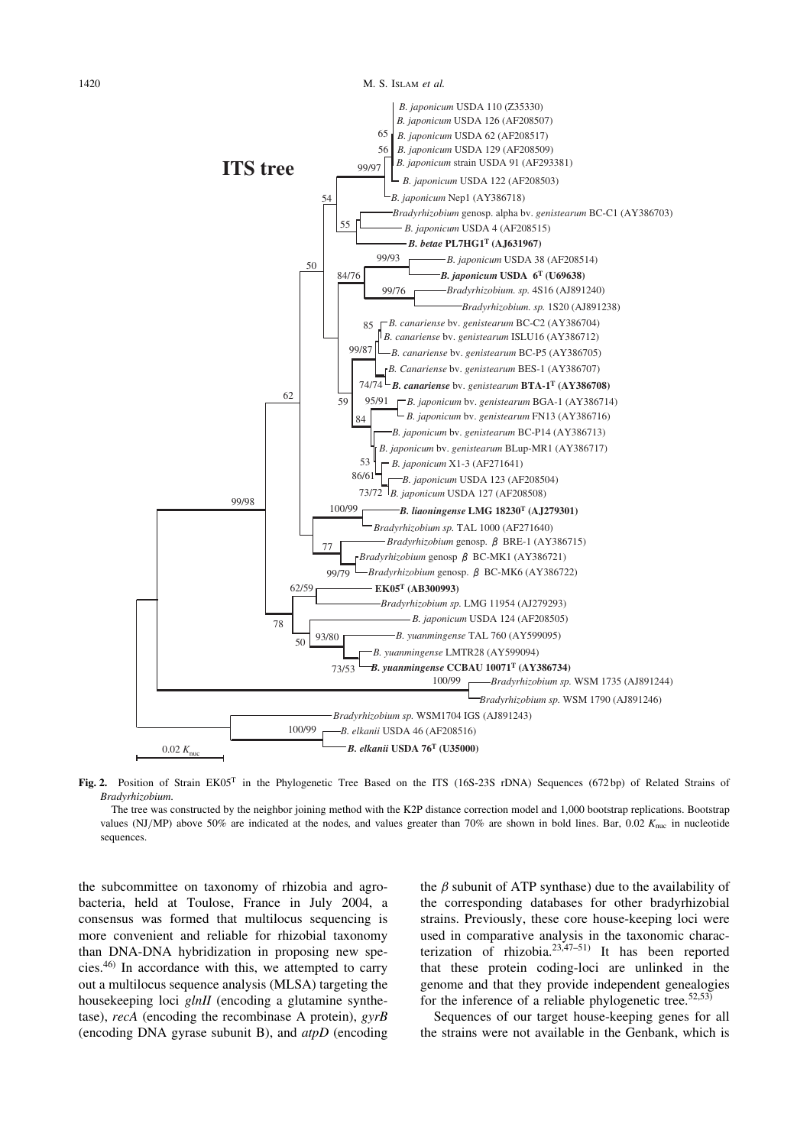

Fig. 2. Position of Strain EK05<sup>T</sup> in the Phylogenetic Tree Based on the ITS (16S-23S rDNA) Sequences (672 bp) of Related Strains of Bradyrhizobium.

The tree was constructed by the neighbor joining method with the K2P distance correction model and 1,000 bootstrap replications. Bootstrap values (NJ/MP) above 50% are indicated at the nodes, and values greater than 70% are shown in bold lines. Bar, 0.02  $K_{\text{nuc}}$  in nucleotide sequences.

the subcommittee on taxonomy of rhizobia and agrobacteria, held at Toulose, France in July 2004, a consensus was formed that multilocus sequencing is more convenient and reliable for rhizobial taxonomy than DNA-DNA hybridization in proposing new species.46) In accordance with this, we attempted to carry out a multilocus sequence analysis (MLSA) targeting the housekeeping loci *glnII* (encoding a glutamine synthetase), recA (encoding the recombinase A protein), gyrB (encoding DNA gyrase subunit B), and  $atpD$  (encoding the  $\beta$  subunit of ATP synthase) due to the availability of the corresponding databases for other bradyrhizobial strains. Previously, these core house-keeping loci were used in comparative analysis in the taxonomic characterization of rhizobia.<sup>23,47–51)</sup> It has been reported that these protein coding-loci are unlinked in the genome and that they provide independent genealogies for the inference of a reliable phylogenetic tree.  $52,53$ )

Sequences of our target house-keeping genes for all the strains were not available in the Genbank, which is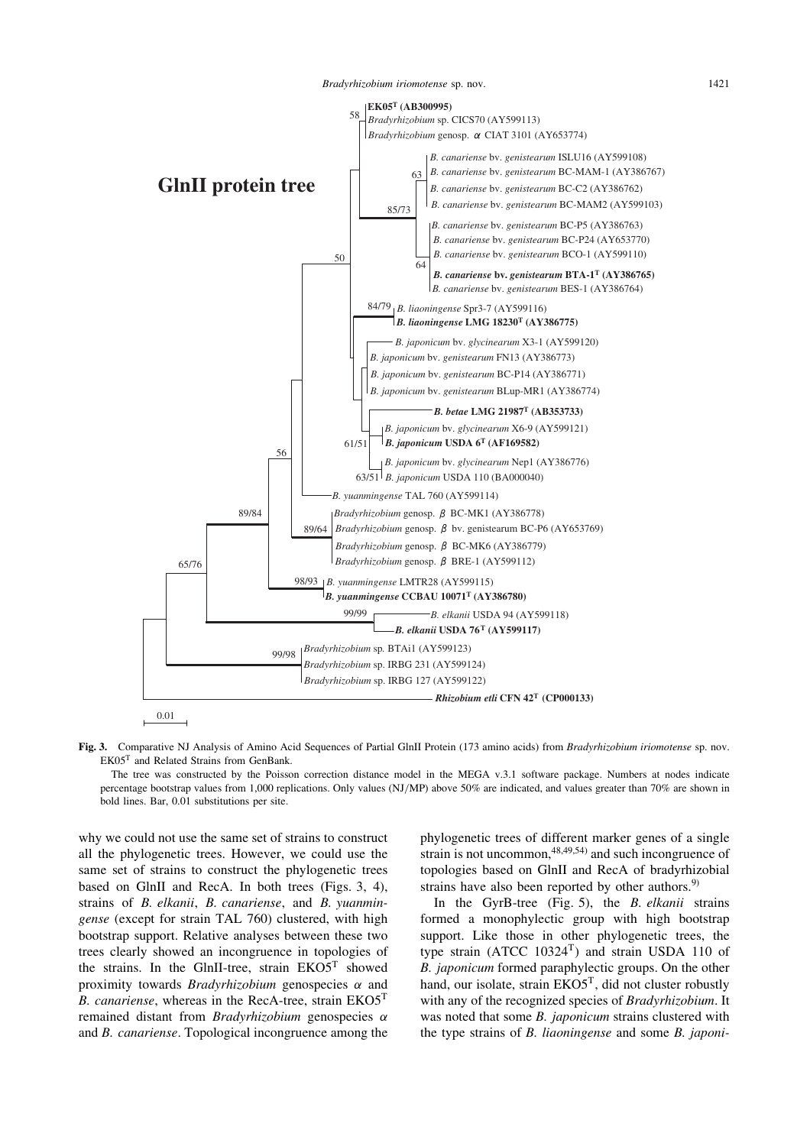Bradyrhizobium iriomotense sp. nov. 1421



Fig. 3. Comparative NJ Analysis of Amino Acid Sequences of Partial GlnII Protein (173 amino acids) from Bradyrhizobium iriomotense sp. nov. EK05<sup>T</sup> and Related Strains from GenBank.

The tree was constructed by the Poisson correction distance model in the MEGA v.3.1 software package. Numbers at nodes indicate percentage bootstrap values from 1,000 replications. Only values (NJ/MP) above 50% are indicated, and values greater than 70% are shown in bold lines. Bar, 0.01 substitutions per site.

why we could not use the same set of strains to construct all the phylogenetic trees. However, we could use the same set of strains to construct the phylogenetic trees based on GlnII and RecA. In both trees (Figs. 3, 4), strains of B. elkanii, B. canariense, and B. yuanmingense (except for strain TAL 760) clustered, with high bootstrap support. Relative analyses between these two trees clearly showed an incongruence in topologies of the strains. In the GlnII-tree, strain EKO5<sup>T</sup> showed proximity towards *Bradyrhizobium* genospecies  $\alpha$  and *B. canariense*, whereas in the RecA-tree, strain  $EKO5<sup>T</sup>$ remained distant from *Bradyrhizobium* genospecies  $\alpha$ and B. canariense. Topological incongruence among the phylogenetic trees of different marker genes of a single strain is not uncommon,  $48,49,54$  and such incongruence of topologies based on GlnII and RecA of bradyrhizobial strains have also been reported by other authors. $9$ 

In the GyrB-tree (Fig. 5), the  $B$ . elkanii strains formed a monophylectic group with high bootstrap support. Like those in other phylogenetic trees, the type strain  $(ATCC 10324<sup>T</sup>)$  and strain USDA 110 of B. japonicum formed paraphylectic groups. On the other hand, our isolate, strain  $EKO5<sup>T</sup>$ , did not cluster robustly with any of the recognized species of Bradyrhizobium. It was noted that some B. japonicum strains clustered with the type strains of B. liaoningense and some B. japoni-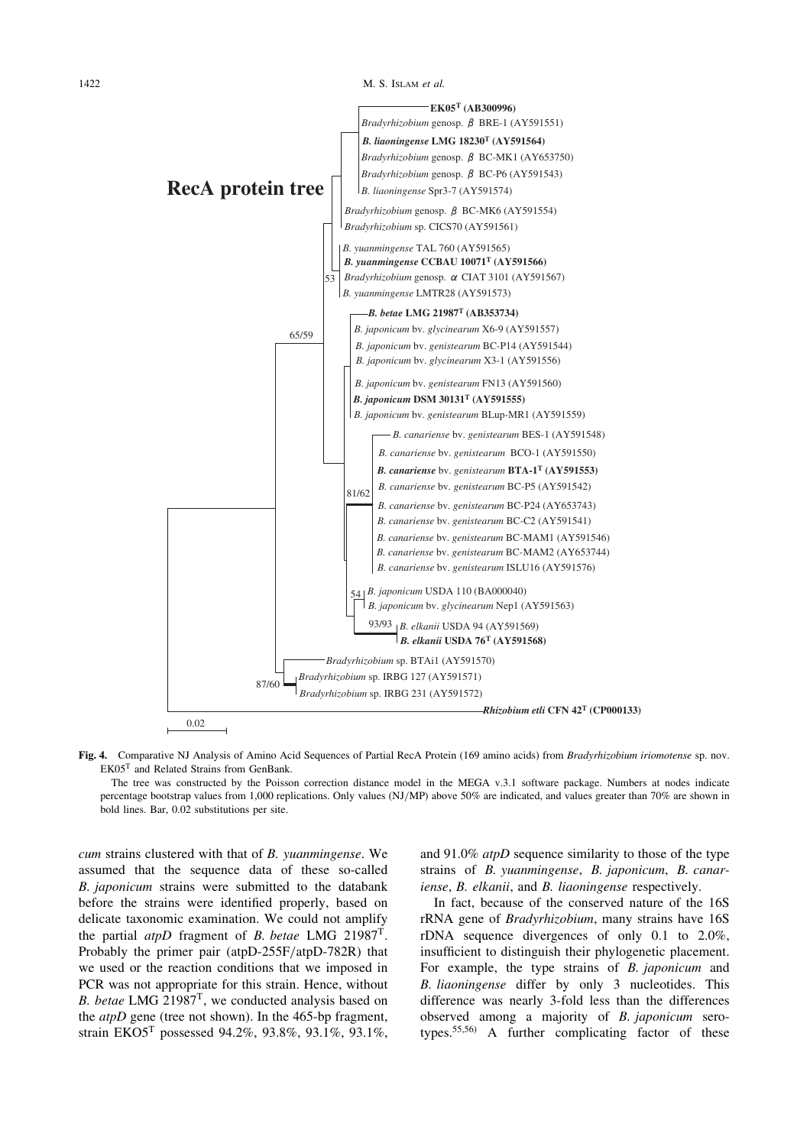#### 1422 M. S. ISLAM et al.



Fig. 4. Comparative NJ Analysis of Amino Acid Sequences of Partial RecA Protein (169 amino acids) from *Bradyrhizobium iriomotense* sp. nov. EK05<sup>T</sup> and Related Strains from GenBank.

The tree was constructed by the Poisson correction distance model in the MEGA v.3.1 software package. Numbers at nodes indicate percentage bootstrap values from 1,000 replications. Only values (NJ/MP) above 50% are indicated, and values greater than 70% are shown in bold lines. Bar, 0.02 substitutions per site.

cum strains clustered with that of B. yuanmingense. We assumed that the sequence data of these so-called B. japonicum strains were submitted to the databank before the strains were identified properly, based on delicate taxonomic examination. We could not amplify the partial *atpD* fragment of *B. betae* LMG 21987<sup>T</sup>. Probably the primer pair (atpD-255F/atpD-782R) that we used or the reaction conditions that we imposed in PCR was not appropriate for this strain. Hence, without B. betae LMG  $21987<sup>T</sup>$ , we conducted analysis based on the  $atpD$  gene (tree not shown). In the 465-bp fragment, strain EKO5<sup>T</sup> possessed 94.2%, 93.8%, 93.1%, 93.1%, and 91.0% atpD sequence similarity to those of the type strains of B. yuanmingense, B. japonicum, B. canariense, B. elkanii, and B. liaoningense respectively.

In fact, because of the conserved nature of the 16S rRNA gene of Bradyrhizobium, many strains have 16S rDNA sequence divergences of only 0.1 to 2.0%, insufficient to distinguish their phylogenetic placement. For example, the type strains of B. japonicum and B. liaoningense differ by only 3 nucleotides. This difference was nearly 3-fold less than the differences observed among a majority of B. japonicum serotypes.55,56) A further complicating factor of these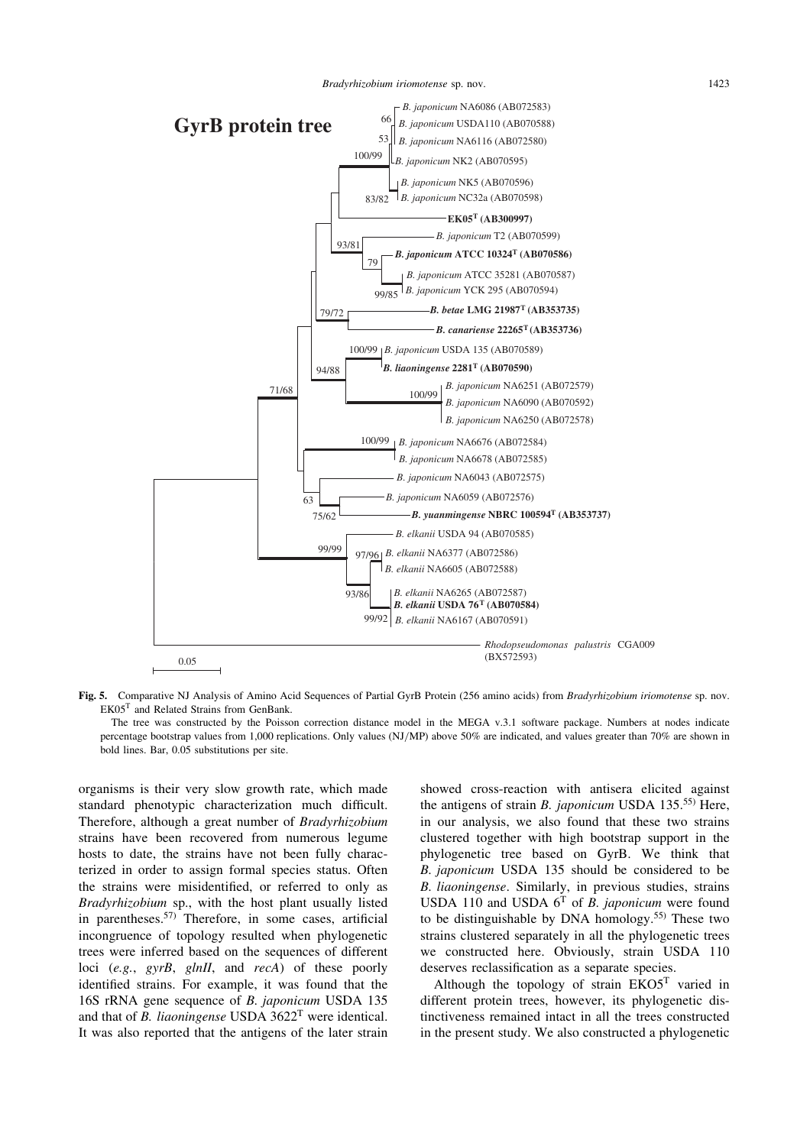

Fig. 5. Comparative NJ Analysis of Amino Acid Sequences of Partial GyrB Protein (256 amino acids) from Bradyrhizobium iriomotense sp. nov. EK05<sup>T</sup> and Related Strains from GenBank.

The tree was constructed by the Poisson correction distance model in the MEGA v.3.1 software package. Numbers at nodes indicate percentage bootstrap values from 1,000 replications. Only values (NJ/MP) above 50% are indicated, and values greater than 70% are shown in bold lines. Bar, 0.05 substitutions per site.

organisms is their very slow growth rate, which made standard phenotypic characterization much difficult. Therefore, although a great number of Bradyrhizobium strains have been recovered from numerous legume hosts to date, the strains have not been fully characterized in order to assign formal species status. Often the strains were misidentified, or referred to only as Bradyrhizobium sp., with the host plant usually listed in parentheses. $57)$  Therefore, in some cases, artificial incongruence of topology resulted when phylogenetic trees were inferred based on the sequences of different loci (e.g., gyrB, glnII, and recA) of these poorly identified strains. For example, it was found that the 16S rRNA gene sequence of B. japonicum USDA 135 and that of *B. liaoningense* USDA  $3622<sup>T</sup>$  were identical. It was also reported that the antigens of the later strain showed cross-reaction with antisera elicited against the antigens of strain *B. japonicum* USDA  $135^{55}$  Here, in our analysis, we also found that these two strains clustered together with high bootstrap support in the phylogenetic tree based on GyrB. We think that B. japonicum USDA 135 should be considered to be B. liaoningense. Similarly, in previous studies, strains USDA 110 and USDA  $6<sup>T</sup>$  of *B. japonicum* were found to be distinguishable by DNA homology.55) These two strains clustered separately in all the phylogenetic trees we constructed here. Obviously, strain USDA 110 deserves reclassification as a separate species.

Although the topology of strain  $E<sub>KO5</sub><sup>T</sup>$  varied in different protein trees, however, its phylogenetic distinctiveness remained intact in all the trees constructed in the present study. We also constructed a phylogenetic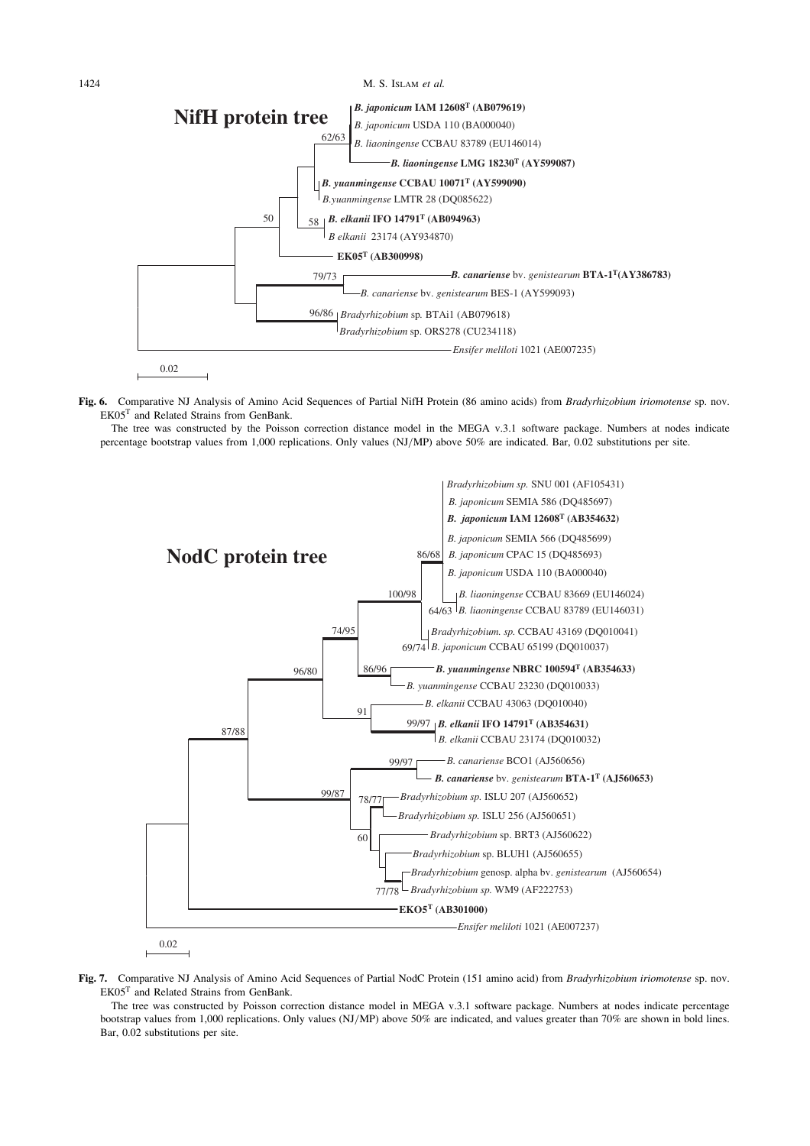*B. liaoningense* CCBAU 83789 (EU146014) *B.yuanmingense* LMTR 28 (DQ085622) *B elkanii* 23174 (AY934870) *B. canariense* bv. *genistearum* BES-1 (AY599093) *Bradyrhizobium* sp. ORS278 (CU234118) 79/73 96/86 *Bradyrhizobium* sp*.* BTAi1 (AB079618) 58 50 *B. elkanii* **IFO 14791T (AB094963)** 62/63 0.02 **EK05T (AB300998)** *B. yuanmingense* **CCBAU 10071T (AY599090)** *B. liaoningense* **LMG 18230T (AY599087)** *B. japonicum* **IAM 12608T (AB079619)** *B. japonicum* USDA 110 (BA000040) *B. canariense* bv. *genistearum* **BTA-1T(AY386783)** *Ensifer meliloti* 1021 (AE007235) **NifH protein tree** 1424 M. S. ISLAM et al.

Fig. 6. Comparative NJ Analysis of Amino Acid Sequences of Partial NifH Protein (86 amino acids) from Bradyrhizobium iriomotense sp. nov. EK05<sup>T</sup> and Related Strains from GenBank.

The tree was constructed by the Poisson correction distance model in the MEGA v.3.1 software package. Numbers at nodes indicate percentage bootstrap values from 1,000 replications. Only values (NJ/MP) above 50% are indicated. Bar, 0.02 substitutions per site.



Fig. 7. Comparative NJ Analysis of Amino Acid Sequences of Partial NodC Protein (151 amino acid) from Bradyrhizobium iriomotense sp. nov. EK05<sup>T</sup> and Related Strains from GenBank.

The tree was constructed by Poisson correction distance model in MEGA v.3.1 software package. Numbers at nodes indicate percentage bootstrap values from 1,000 replications. Only values (NJ/MP) above 50% are indicated, and values greater than 70% are shown in bold lines. Bar, 0.02 substitutions per site.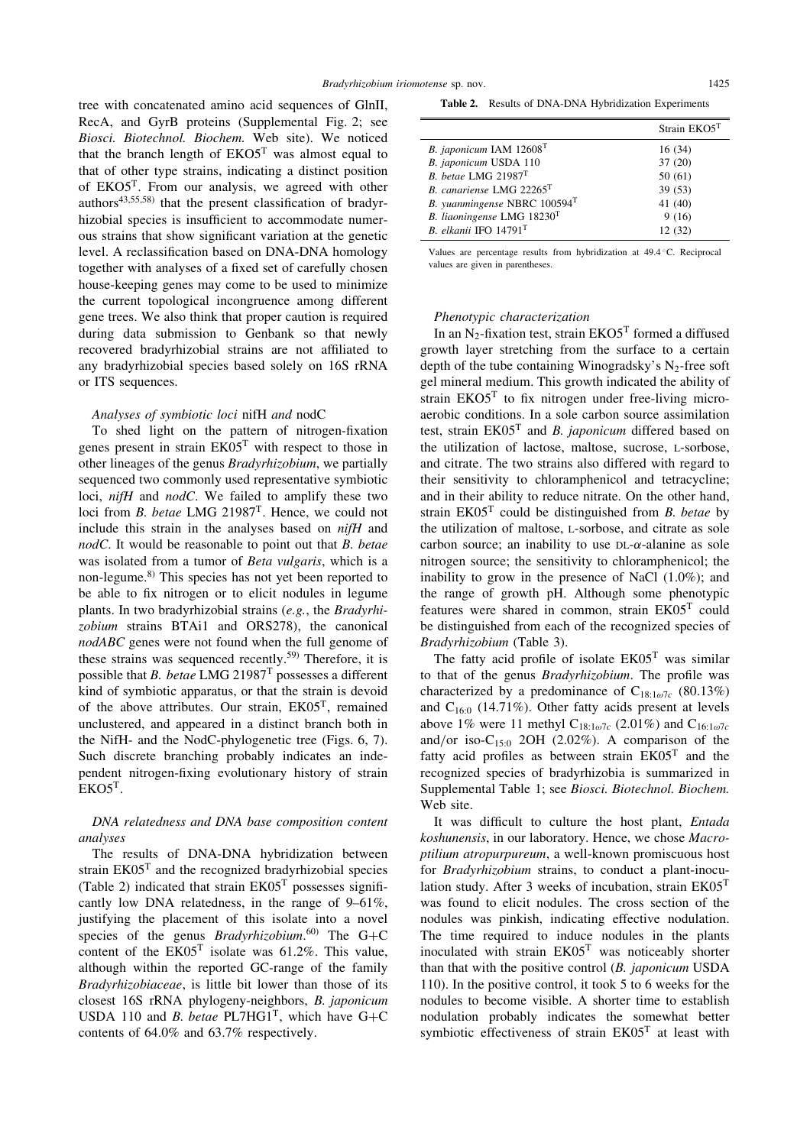tree with concatenated amino acid sequences of GlnII, RecA, and GyrB proteins (Supplemental Fig. 2; see Biosci. Biotechnol. Biochem. Web site). We noticed that the branch length of  $EKO5<sup>T</sup>$  was almost equal to that of other type strains, indicating a distinct position of EKO5T. From our analysis, we agreed with other authors<sup>43,55,58)</sup> that the present classification of bradyrhizobial species is insufficient to accommodate numerous strains that show significant variation at the genetic level. A reclassification based on DNA-DNA homology together with analyses of a fixed set of carefully chosen house-keeping genes may come to be used to minimize the current topological incongruence among different gene trees. We also think that proper caution is required during data submission to Genbank so that newly recovered bradyrhizobial strains are not affiliated to any bradyrhizobial species based solely on 16S rRNA or ITS sequences.

#### Analyses of symbiotic loci nifH and nodC

To shed light on the pattern of nitrogen-fixation genes present in strain EK05<sup>T</sup> with respect to those in other lineages of the genus Bradyrhizobium, we partially sequenced two commonly used representative symbiotic loci, nifH and nodC. We failed to amplify these two loci from *B. betae* LMG  $21987$ <sup>T</sup>. Hence, we could not include this strain in the analyses based on nifH and nodC. It would be reasonable to point out that B. betae was isolated from a tumor of Beta vulgaris, which is a non-legume.8) This species has not yet been reported to be able to fix nitrogen or to elicit nodules in legume plants. In two bradyrhizobial strains (e.g., the Bradyrhizobium strains BTAi1 and ORS278), the canonical nodABC genes were not found when the full genome of these strains was sequenced recently.<sup>59)</sup> Therefore, it is possible that B. betae LMG 21987<sup>T</sup> possesses a different kind of symbiotic apparatus, or that the strain is devoid of the above attributes. Our strain, EK05T, remained unclustered, and appeared in a distinct branch both in the NifH- and the NodC-phylogenetic tree (Figs. 6, 7). Such discrete branching probably indicates an independent nitrogen-fixing evolutionary history of strain  $EKO5<sup>T</sup>$ .

### DNA relatedness and DNA base composition content analyses

The results of DNA-DNA hybridization between strain EK05<sup>T</sup> and the recognized bradyrhizobial species (Table 2) indicated that strain  $E K05<sup>T</sup>$  possesses significantly low DNA relatedness, in the range of 9–61%, justifying the placement of this isolate into a novel species of the genus *Bradyrhizobium*.<sup>60)</sup> The G+C content of the  $EK05<sup>T</sup>$  isolate was 61.2%. This value, although within the reported GC-range of the family Bradyrhizobiaceae, is little bit lower than those of its closest 16S rRNA phylogeny-neighbors, B. japonicum USDA 110 and *B. betae* PL7HG1<sup>T</sup>, which have G+C contents of 64.0% and 63.7% respectively.

Table 2. Results of DNA-DNA Hybridization Experiments

|                                            | Strain EKO5T |
|--------------------------------------------|--------------|
| B. japonicum IAM $12608T$                  | 16(34)       |
| B. japonicum USDA 110                      | 37(20)       |
| B. betae LMG 21987 <sup>T</sup>            | 50(61)       |
| B. canariense LMG 22265T                   | 39(53)       |
| B. yuanmingense NBRC $100594$ <sup>T</sup> | 41(40)       |
| B. liaoningense LMG $18230T$               | 9(16)        |
| B. elkanii IFO 14791 <sup>T</sup>          | 12(32)       |

Values are percentage results from hybridization at 49.4 C. Reciprocal values are given in parentheses.

#### Phenotypic characterization

In an N<sub>2</sub>-fixation test, strain  $EKO5<sup>T</sup>$  formed a diffused growth layer stretching from the surface to a certain depth of the tube containing Winogradsky's  $N_2$ -free soft gel mineral medium. This growth indicated the ability of strain  $EKO5<sup>T</sup>$  to fix nitrogen under free-living microaerobic conditions. In a sole carbon source assimilation test, strain  $E K05<sup>T</sup>$  and *B. japonicum* differed based on the utilization of lactose, maltose, sucrose, L-sorbose, and citrate. The two strains also differed with regard to their sensitivity to chloramphenicol and tetracycline; and in their ability to reduce nitrate. On the other hand, strain  $E K05<sup>T</sup>$  could be distinguished from *B*. *betae* by the utilization of maltose, L-sorbose, and citrate as sole carbon source; an inability to use  $DL-\alpha$ -alanine as sole nitrogen source; the sensitivity to chloramphenicol; the inability to grow in the presence of NaCl (1.0%); and the range of growth pH. Although some phenotypic features were shared in common, strain EK05<sup>T</sup> could be distinguished from each of the recognized species of Bradyrhizobium (Table 3).

The fatty acid profile of isolate  $E K05<sup>T</sup>$  was similar to that of the genus Bradyrhizobium. The profile was characterized by a predominance of  $C_{18:1\omega7c}$  (80.13%) and  $C_{16:0}$  (14.71%). Other fatty acids present at levels above 1% were 11 methyl  $C_{18:1\omega/7c}$  (2.01%) and  $C_{16:1\omega/7c}$ and/or iso- $C_{15:0}$  2OH (2.02%). A comparison of the fatty acid profiles as between strain EK05<sup>T</sup> and the recognized species of bradyrhizobia is summarized in Supplemental Table 1; see Biosci. Biotechnol. Biochem. Web site.

It was difficult to culture the host plant, *Entada* koshunensis, in our laboratory. Hence, we chose Macroptilium atropurpureum, a well-known promiscuous host for Bradyrhizobium strains, to conduct a plant-inoculation study. After 3 weeks of incubation, strain EK05<sup>T</sup> was found to elicit nodules. The cross section of the nodules was pinkish, indicating effective nodulation. The time required to induce nodules in the plants inoculated with strain  $E K05<sup>T</sup>$  was noticeably shorter than that with the positive control  $(B.$  japonicum USDA 110). In the positive control, it took 5 to 6 weeks for the nodules to become visible. A shorter time to establish nodulation probably indicates the somewhat better symbiotic effectiveness of strain EK05<sup>T</sup> at least with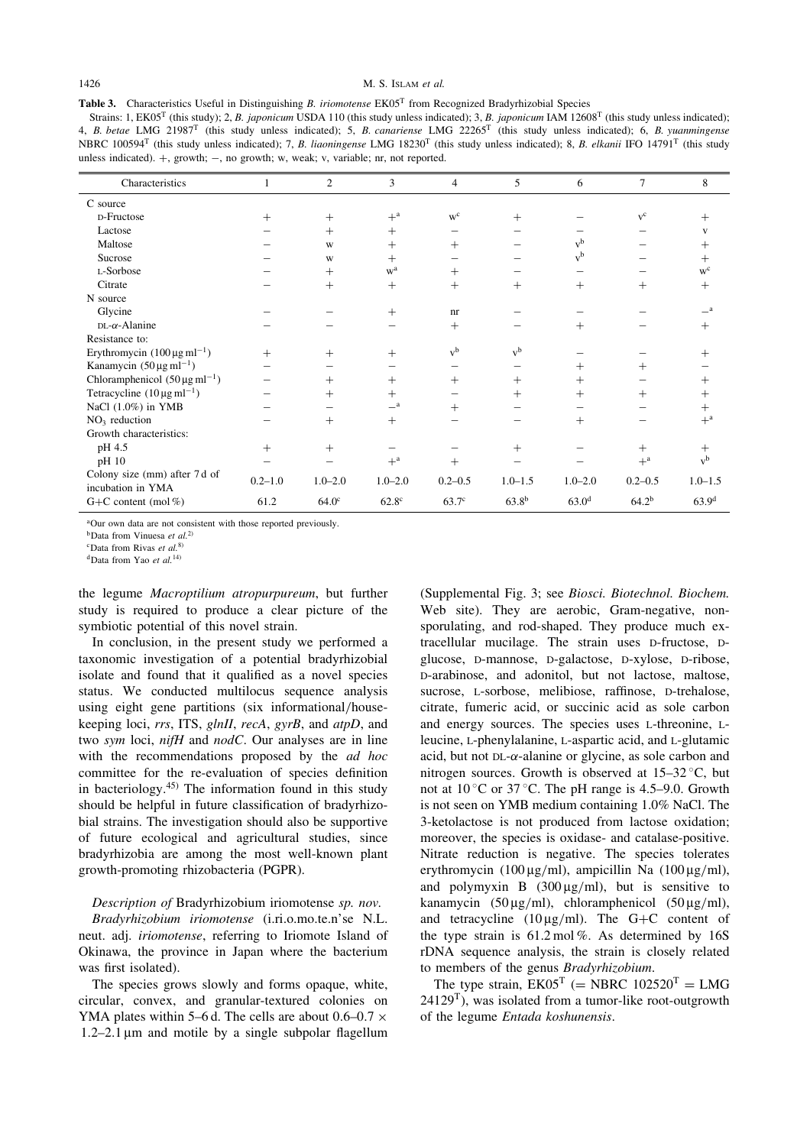### 1426 M. S. ISLAM et al.

Table 3. Characteristics Useful in Distinguishing B. *iriomotense* EK05<sup>T</sup> from Recognized Bradyrhizobial Species

Strains: 1, EK05<sup>T</sup> (this study); 2, B. japonicum USDA 110 (this study unless indicated); 3, B. japonicum IAM 12608<sup>T</sup> (this study unless indicated); 4, B. betae LMG 21987<sup>T</sup> (this study unless indicated); 5, B. canariense LMG 22265<sup>T</sup> (this study unless indicated); 6, B. yuanmingense NBRC 100594<sup>T</sup> (this study unless indicated); 7, B. liaoningense LMG 18230<sup>T</sup> (this study unless indicated); 8, B. elkanii IFO 14791<sup>T</sup> (this study unless indicated).  $+$ , growth;  $-$ , no growth; w, weak; v, variable; nr, not reported.

| Characteristics                                 |             | 2                 | 3                     | $\overline{4}$    | 5           | 6                 | 7           | 8                  |
|-------------------------------------------------|-------------|-------------------|-----------------------|-------------------|-------------|-------------------|-------------|--------------------|
| C source                                        |             |                   |                       |                   |             |                   |             |                    |
| D-Fructose                                      | $+$         | $+$               | $+$ <sup>a</sup>      | $W^C$             | $^{+}$      |                   | $V^C$       |                    |
| Lactose                                         |             | $+$               | $^{+}$                |                   |             |                   |             |                    |
| Maltose                                         |             | W                 | $^{+}$                | $^{+}$            |             | $v^b$             |             |                    |
| Sucrose                                         |             | W                 | $+$                   |                   |             | $v^b$             |             | $^{+}$             |
| L-Sorbose                                       |             | $+$               | w <sup>a</sup>        | $+$               |             |                   |             | $w^c$              |
| Citrate                                         |             | $+$               | $+$                   | $+$               | $^{+}$      | $+$               | $^{+}$      | $^{+}$             |
| N source                                        |             |                   |                       |                   |             |                   |             |                    |
| Glycine                                         |             |                   | $+$                   | nr                |             |                   |             | _a                 |
| $DL-\alpha$ -Alanine                            |             |                   |                       | $+$               |             | $^+$              |             | $^+$               |
| Resistance to:                                  |             |                   |                       |                   |             |                   |             |                    |
| Erythromycin $(100 \,\mu g \,\text{ml}^{-1})$   | $+$         | $^{+}$            | $^{+}$                | $v^b$             | $v^b$       |                   |             |                    |
| Kanamycin $(50 \,\mu g \,\text{ml}^{-1})$       |             |                   |                       |                   |             | $^{+}$            | $^+$        |                    |
| Chloramphenicol $(50 \,\mu g \,\text{ml}^{-1})$ |             | $+$               | $+$                   | $+$               | $^{+}$      | $^{+}$            |             |                    |
| Tetracycline $(10 \mu g \text{ ml}^{-1})$       |             | $^{+}$            | $+$                   |                   | $^{+}$      | $^+$              | $\! +$      | $\hspace{0.1mm} +$ |
| NaCl $(1.0\%)$ in YMB                           |             |                   | $\equiv$ <sup>a</sup> | $^{+}$            |             |                   |             | $^{+}$             |
| $NO3$ reduction                                 |             | $+$               | $+$                   |                   |             | $+$               |             | $+^a$              |
| Growth characteristics:                         |             |                   |                       |                   |             |                   |             |                    |
| pH 4.5                                          | $+$         | $^{+}$            |                       |                   | $^{+}$      |                   | $^{+}$      | $^{+}$             |
| pH 10                                           |             |                   | $+$ <sup>a</sup>      | $^{+}$            |             |                   | $+^a$       | $v^b$              |
| Colony size (mm) after 7 d of                   | $0.2 - 1.0$ | $1.0 - 2.0$       | $1.0 - 2.0$           | $0.2 - 0.5$       | $1.0 - 1.5$ | $1.0 - 2.0$       | $0.2 - 0.5$ | $1.0 - 1.5$        |
| incubation in YMA                               |             |                   |                       |                   |             |                   |             |                    |
| G+C content (mol $%$ )                          | 61.2        | 64.0 <sup>c</sup> | 62.8 <sup>c</sup>     | 63.7 <sup>c</sup> | $63.8^{b}$  | 63.0 <sup>d</sup> | $64.2^{b}$  | 63.9 <sup>d</sup>  |

<sup>a</sup>Our own data are not consistent with those reported previously.

 $<sup>b</sup>$ Data from Vinuesa et al.<sup>2)</sup></sup>

 $c$ Data from Rivas et al.<sup>8)</sup>

 $d$ Data from Yao et al.<sup>14)</sup>

the legume Macroptilium atropurpureum, but further study is required to produce a clear picture of the symbiotic potential of this novel strain.

In conclusion, in the present study we performed a taxonomic investigation of a potential bradyrhizobial isolate and found that it qualified as a novel species status. We conducted multilocus sequence analysis using eight gene partitions (six informational/housekeeping loci, rrs, ITS, glnII, recA, gyrB, and atpD, and two sym loci, nifH and nodC. Our analyses are in line with the recommendations proposed by the *ad hoc* committee for the re-evaluation of species definition in bacteriology. $45$  The information found in this study should be helpful in future classification of bradyrhizobial strains. The investigation should also be supportive of future ecological and agricultural studies, since bradyrhizobia are among the most well-known plant growth-promoting rhizobacteria (PGPR).

Description of Bradyrhizobium iriomotense sp. nov. Bradyrhizobium iriomotense (i.ri.o.mo.te.n'se N.L. neut. adj. iriomotense, referring to Iriomote Island of Okinawa, the province in Japan where the bacterium was first isolated).

The species grows slowly and forms opaque, white, circular, convex, and granular-textured colonies on YMA plates within 5–6 d. The cells are about 0.6–0.7  $\times$  $1.2-2.1 \,\mu m$  and motile by a single subpolar flagellum (Supplemental Fig. 3; see Biosci. Biotechnol. Biochem. Web site). They are aerobic, Gram-negative, nonsporulating, and rod-shaped. They produce much extracellular mucilage. The strain uses D-fructose, Dglucose, D-mannose, D-galactose, D-xylose, D-ribose, D-arabinose, and adonitol, but not lactose, maltose, sucrose, L-sorbose, melibiose, raffinose, D-trehalose, citrate, fumeric acid, or succinic acid as sole carbon and energy sources. The species uses L-threonine, Lleucine, L-phenylalanine, L-aspartic acid, and L-glutamic acid, but not  $DL-\alpha$ -alanine or glycine, as sole carbon and nitrogen sources. Growth is observed at  $15-32$  °C, but not at  $10^{\circ}$ C or  $37^{\circ}$ C. The pH range is 4.5–9.0. Growth is not seen on YMB medium containing 1.0% NaCl. The 3-ketolactose is not produced from lactose oxidation; moreover, the species is oxidase- and catalase-positive. Nitrate reduction is negative. The species tolerates erythromycin (100  $\mu$ g/ml), ampicillin Na (100  $\mu$ g/ml), and polymyxin B  $(300 \mu g/ml)$ , but is sensitive to kanamycin (50  $\mu$ g/ml), chloramphenicol (50  $\mu$ g/ml), and tetracycline ( $10 \mu g/ml$ ). The G+C content of the type strain is  $61.2 \text{ mol}$ %. As determined by  $16S$ rDNA sequence analysis, the strain is closely related to members of the genus Bradyrhizobium.

The type strain,  $EK05^T$  (= NBRC  $102520^T$  = LMG  $24129<sup>T</sup>$ ), was isolated from a tumor-like root-outgrowth of the legume Entada koshunensis.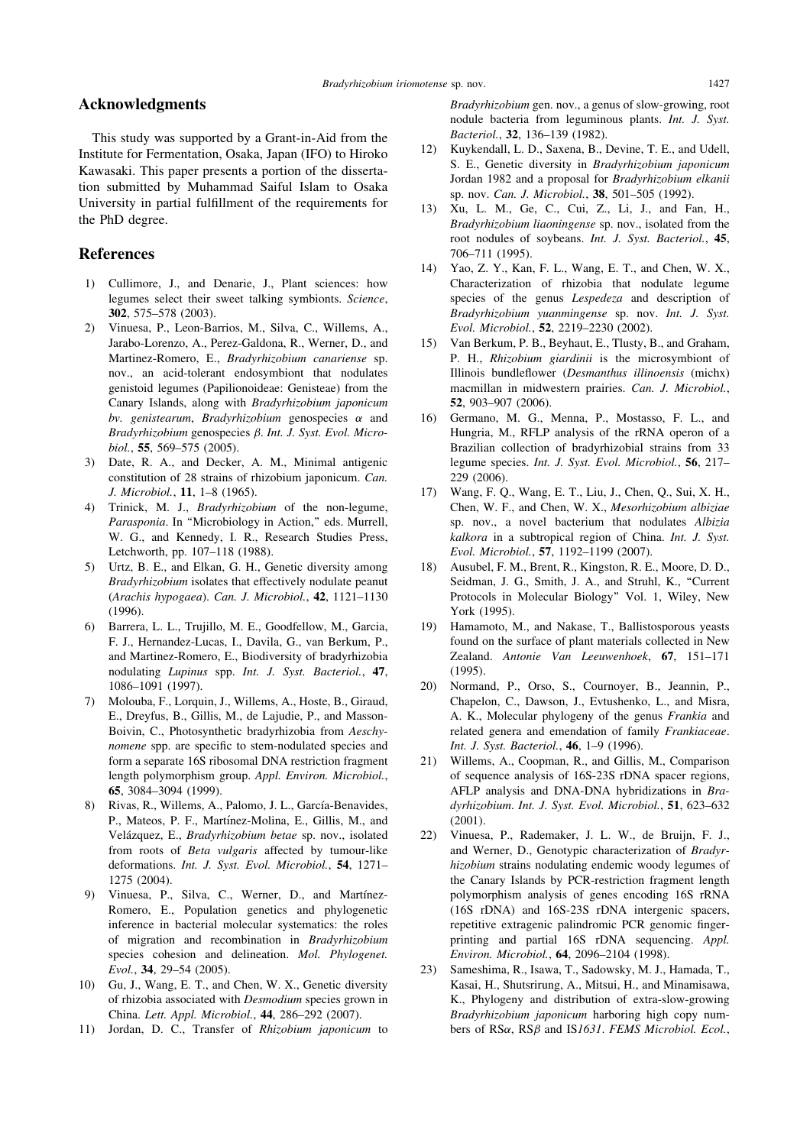# Acknowledgments

This study was supported by a Grant-in-Aid from the Institute for Fermentation, Osaka, Japan (IFO) to Hiroko Kawasaki. This paper presents a portion of the dissertation submitted by Muhammad Saiful Islam to Osaka University in partial fulfillment of the requirements for the PhD degree.

# References

- 1) Cullimore, J., and Denarie, J., Plant sciences: how legumes select their sweet talking symbionts. Science, 302, 575–578 (2003).
- 2) Vinuesa, P., Leon-Barrios, M., Silva, C., Willems, A., Jarabo-Lorenzo, A., Perez-Galdona, R., Werner, D., and Martinez-Romero, E., Bradyrhizobium canariense sp. nov., an acid-tolerant endosymbiont that nodulates genistoid legumes (Papilionoideae: Genisteae) from the Canary Islands, along with Bradyrhizobium japonicum bv. genistearum, Bradyrhizobium genospecies  $\alpha$  and Bradyrhizobium genospecies  $\beta$ . Int. J. Syst. Evol. Microbiol., 55, 569–575 (2005).
- 3) Date, R. A., and Decker, A. M., Minimal antigenic constitution of 28 strains of rhizobium japonicum. Can. J. Microbiol., 11, 1–8 (1965).
- 4) Trinick, M. J., Bradyrhizobium of the non-legume, Parasponia. In "Microbiology in Action," eds. Murrell, W. G., and Kennedy, I. R., Research Studies Press, Letchworth, pp. 107–118 (1988).
- 5) Urtz, B. E., and Elkan, G. H., Genetic diversity among Bradyrhizobium isolates that effectively nodulate peanut (Arachis hypogaea). Can. J. Microbiol., 42, 1121–1130 (1996).
- 6) Barrera, L. L., Trujillo, M. E., Goodfellow, M., Garcia, F. J., Hernandez-Lucas, I., Davila, G., van Berkum, P., and Martinez-Romero, E., Biodiversity of bradyrhizobia nodulating Lupinus spp. Int. J. Syst. Bacteriol., 47, 1086–1091 (1997).
- 7) Molouba, F., Lorquin, J., Willems, A., Hoste, B., Giraud, E., Dreyfus, B., Gillis, M., de Lajudie, P., and Masson-Boivin, C., Photosynthetic bradyrhizobia from Aeschynomene spp. are specific to stem-nodulated species and form a separate 16S ribosomal DNA restriction fragment length polymorphism group. Appl. Environ. Microbiol., 65, 3084–3094 (1999).
- 8) Rivas, R., Willems, A., Palomo, J. L., García-Benavides, P., Mateos, P. F., Martínez-Molina, E., Gillis, M., and Velázquez, E., Bradyrhizobium betae sp. nov., isolated from roots of Beta vulgaris affected by tumour-like deformations. Int. J. Syst. Evol. Microbiol., 54, 1271– 1275 (2004).
- 9) Vinuesa, P., Silva, C., Werner, D., and Martínez-Romero, E., Population genetics and phylogenetic inference in bacterial molecular systematics: the roles of migration and recombination in Bradyrhizobium species cohesion and delineation. Mol. Phylogenet. Evol., 34, 29–54 (2005).
- 10) Gu, J., Wang, E. T., and Chen, W. X., Genetic diversity of rhizobia associated with Desmodium species grown in China. Lett. Appl. Microbiol., 44, 286–292 (2007).
- 11) Jordan, D. C., Transfer of Rhizobium japonicum to

Bradyrhizobium gen. nov., a genus of slow-growing, root nodule bacteria from leguminous plants. Int. J. Syst. Bacteriol., 32, 136–139 (1982).

- 12) Kuykendall, L. D., Saxena, B., Devine, T. E., and Udell, S. E., Genetic diversity in Bradyrhizobium japonicum Jordan 1982 and a proposal for Bradyrhizobium elkanii sp. nov. Can. J. Microbiol., 38, 501-505 (1992).
- 13) Xu, L. M., Ge, C., Cui, Z., Li, J., and Fan, H., Bradyrhizobium liaoningense sp. nov., isolated from the root nodules of soybeans. Int. J. Syst. Bacteriol., 45, 706–711 (1995).
- 14) Yao, Z. Y., Kan, F. L., Wang, E. T., and Chen, W. X., Characterization of rhizobia that nodulate legume species of the genus Lespedeza and description of Bradyrhizobium yuanmingense sp. nov. Int. J. Syst. Evol. Microbiol., 52, 2219–2230 (2002).
- 15) Van Berkum, P. B., Beyhaut, E., Tlusty, B., and Graham, P. H., Rhizobium giardinii is the microsymbiont of Illinois bundleflower (Desmanthus illinoensis (michx) macmillan in midwestern prairies. Can. J. Microbiol., 52, 903–907 (2006).
- 16) Germano, M. G., Menna, P., Mostasso, F. L., and Hungria, M., RFLP analysis of the rRNA operon of a Brazilian collection of bradyrhizobial strains from 33 legume species. Int. J. Syst. Evol. Microbiol., 56, 217– 229 (2006).
- 17) Wang, F. Q., Wang, E. T., Liu, J., Chen, Q., Sui, X. H., Chen, W. F., and Chen, W. X., Mesorhizobium albiziae sp. nov., a novel bacterium that nodulates Albizia kalkora in a subtropical region of China. Int. J. Syst. Evol. Microbiol., 57, 1192–1199 (2007).
- 18) Ausubel, F. M., Brent, R., Kingston, R. E., Moore, D. D., Seidman, J. G., Smith, J. A., and Struhl, K., "Current Protocols in Molecular Biology'' Vol. 1, Wiley, New York (1995).
- 19) Hamamoto, M., and Nakase, T., Ballistosporous yeasts found on the surface of plant materials collected in New Zealand. Antonie Van Leeuwenhoek, 67, 151–171 (1995).
- 20) Normand, P., Orso, S., Cournoyer, B., Jeannin, P., Chapelon, C., Dawson, J., Evtushenko, L., and Misra, A. K., Molecular phylogeny of the genus Frankia and related genera and emendation of family Frankiaceae. Int. J. Syst. Bacteriol., 46, 1–9 (1996).
- 21) Willems, A., Coopman, R., and Gillis, M., Comparison of sequence analysis of 16S-23S rDNA spacer regions, AFLP analysis and DNA-DNA hybridizations in Bradyrhizobium. Int. J. Syst. Evol. Microbiol., 51, 623–632 (2001).
- 22) Vinuesa, P., Rademaker, J. L. W., de Bruijn, F. J., and Werner, D., Genotypic characterization of Bradyrhizobium strains nodulating endemic woody legumes of the Canary Islands by PCR-restriction fragment length polymorphism analysis of genes encoding 16S rRNA (16S rDNA) and 16S-23S rDNA intergenic spacers, repetitive extragenic palindromic PCR genomic fingerprinting and partial 16S rDNA sequencing. Appl. Environ. Microbiol., 64, 2096–2104 (1998).
- 23) Sameshima, R., Isawa, T., Sadowsky, M. J., Hamada, T., Kasai, H., Shutsrirung, A., Mitsui, H., and Minamisawa, K., Phylogeny and distribution of extra-slow-growing Bradyrhizobium japonicum harboring high copy numbers of  $RS\alpha$ ,  $RS\beta$  and  $IS1631$ . FEMS Microbiol. Ecol.,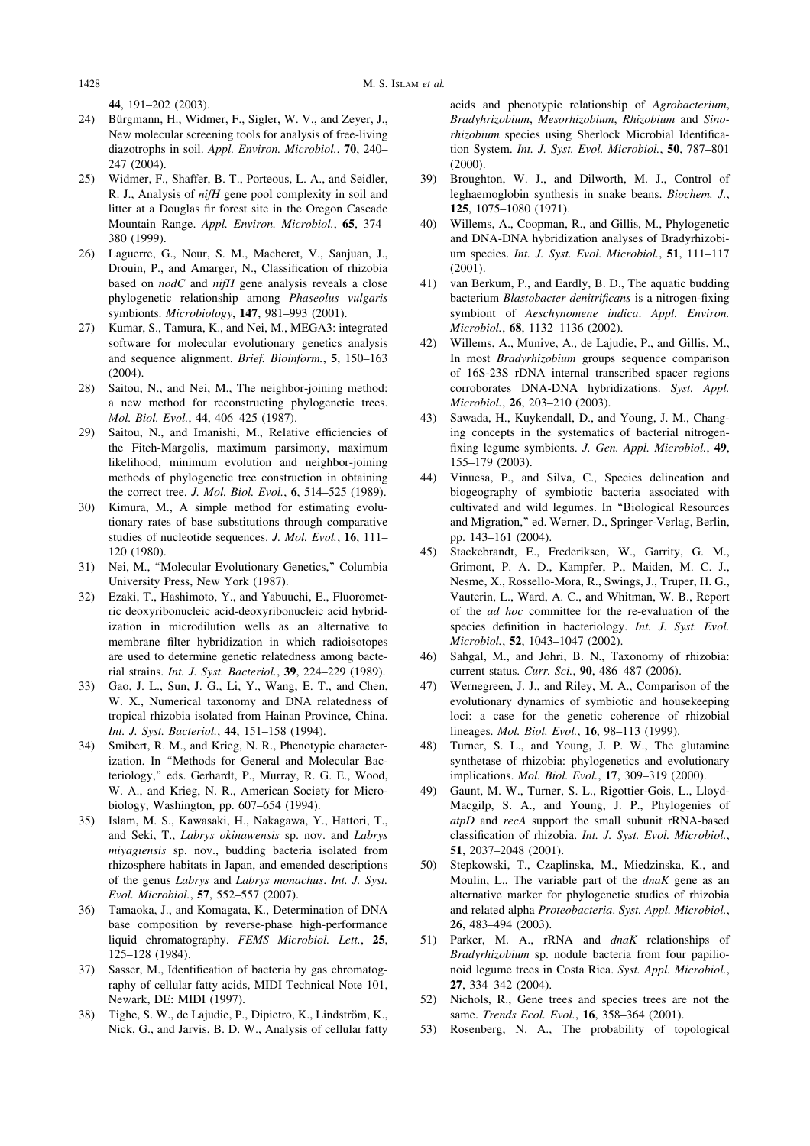44, 191–202 (2003).

- 24) Bürgmann, H., Widmer, F., Sigler, W. V., and Zeyer, J., New molecular screening tools for analysis of free-living diazotrophs in soil. Appl. Environ. Microbiol., 70, 240– 247 (2004).
- 25) Widmer, F., Shaffer, B. T., Porteous, L. A., and Seidler, R. J., Analysis of nifH gene pool complexity in soil and litter at a Douglas fir forest site in the Oregon Cascade Mountain Range. Appl. Environ. Microbiol., 65, 374– 380 (1999).
- 26) Laguerre, G., Nour, S. M., Macheret, V., Sanjuan, J., Drouin, P., and Amarger, N., Classification of rhizobia based on nodC and nifH gene analysis reveals a close phylogenetic relationship among Phaseolus vulgaris symbionts. Microbiology, 147, 981–993 (2001).
- 27) Kumar, S., Tamura, K., and Nei, M., MEGA3: integrated software for molecular evolutionary genetics analysis and sequence alignment. Brief. Bioinform., 5, 150–163 (2004).
- 28) Saitou, N., and Nei, M., The neighbor-joining method: a new method for reconstructing phylogenetic trees. Mol. Biol. Evol., 44, 406–425 (1987).
- 29) Saitou, N., and Imanishi, M., Relative efficiencies of the Fitch-Margolis, maximum parsimony, maximum likelihood, minimum evolution and neighbor-joining methods of phylogenetic tree construction in obtaining the correct tree. J. Mol. Biol. Evol., 6, 514–525 (1989).
- 30) Kimura, M., A simple method for estimating evolutionary rates of base substitutions through comparative studies of nucleotide sequences. J. Mol. Evol., 16, 111-120 (1980).
- 31) Nei, M., ''Molecular Evolutionary Genetics,'' Columbia University Press, New York (1987).
- 32) Ezaki, T., Hashimoto, Y., and Yabuuchi, E., Fluorometric deoxyribonucleic acid-deoxyribonucleic acid hybridization in microdilution wells as an alternative to membrane filter hybridization in which radioisotopes are used to determine genetic relatedness among bacterial strains. Int. J. Syst. Bacteriol., 39, 224–229 (1989).
- 33) Gao, J. L., Sun, J. G., Li, Y., Wang, E. T., and Chen, W. X., Numerical taxonomy and DNA relatedness of tropical rhizobia isolated from Hainan Province, China. Int. J. Syst. Bacteriol., 44, 151–158 (1994).
- 34) Smibert, R. M., and Krieg, N. R., Phenotypic characterization. In ''Methods for General and Molecular Bacteriology,'' eds. Gerhardt, P., Murray, R. G. E., Wood, W. A., and Krieg, N. R., American Society for Microbiology, Washington, pp. 607–654 (1994).
- 35) Islam, M. S., Kawasaki, H., Nakagawa, Y., Hattori, T., and Seki, T., Labrys okinawensis sp. nov. and Labrys miyagiensis sp. nov., budding bacteria isolated from rhizosphere habitats in Japan, and emended descriptions of the genus Labrys and Labrys monachus. Int. J. Syst. Evol. Microbiol., 57, 552–557 (2007).
- 36) Tamaoka, J., and Komagata, K., Determination of DNA base composition by reverse-phase high-performance liquid chromatography. FEMS Microbiol. Lett., 25, 125–128 (1984).
- Sasser, M., Identification of bacteria by gas chromatography of cellular fatty acids, MIDI Technical Note 101, Newark, DE: MIDI (1997).
- 38) Tighe, S. W., de Lajudie, P., Dipietro, K., Lindström, K., Nick, G., and Jarvis, B. D. W., Analysis of cellular fatty

acids and phenotypic relationship of Agrobacterium, Bradyhrizobium, Mesorhizobium, Rhizobium and Sinorhizobium species using Sherlock Microbial Identification System. Int. J. Syst. Evol. Microbiol., 50, 787-801 (2000).

- 39) Broughton, W. J., and Dilworth, M. J., Control of leghaemoglobin synthesis in snake beans. Biochem. J., 125, 1075–1080 (1971).
- 40) Willems, A., Coopman, R., and Gillis, M., Phylogenetic and DNA-DNA hybridization analyses of Bradyrhizobium species. Int. J. Syst. Evol. Microbiol., 51, 111-117 (2001).
- 41) van Berkum, P., and Eardly, B. D., The aquatic budding bacterium Blastobacter denitrificans is a nitrogen-fixing symbiont of Aeschynomene indica. Appl. Environ. Microbiol., 68, 1132–1136 (2002).
- 42) Willems, A., Munive, A., de Lajudie, P., and Gillis, M., In most Bradyrhizobium groups sequence comparison of 16S-23S rDNA internal transcribed spacer regions corroborates DNA-DNA hybridizations. Syst. Appl. Microbiol., 26, 203–210 (2003).
- 43) Sawada, H., Kuykendall, D., and Young, J. M., Changing concepts in the systematics of bacterial nitrogenfixing legume symbionts. J. Gen. Appl. Microbiol., 49, 155–179 (2003).
- 44) Vinuesa, P., and Silva, C., Species delineation and biogeography of symbiotic bacteria associated with cultivated and wild legumes. In ''Biological Resources and Migration,'' ed. Werner, D., Springer-Verlag, Berlin, pp. 143–161 (2004).
- 45) Stackebrandt, E., Frederiksen, W., Garrity, G. M., Grimont, P. A. D., Kampfer, P., Maiden, M. C. J., Nesme, X., Rossello-Mora, R., Swings, J., Truper, H. G., Vauterin, L., Ward, A. C., and Whitman, W. B., Report of the ad hoc committee for the re-evaluation of the species definition in bacteriology. *Int. J. Syst. Evol.* Microbiol., 52, 1043–1047 (2002).
- 46) Sahgal, M., and Johri, B. N., Taxonomy of rhizobia: current status. Curr. Sci., 90, 486–487 (2006).
- 47) Wernegreen, J. J., and Riley, M. A., Comparison of the evolutionary dynamics of symbiotic and housekeeping loci: a case for the genetic coherence of rhizobial lineages. Mol. Biol. Evol., 16, 98–113 (1999).
- 48) Turner, S. L., and Young, J. P. W., The glutamine synthetase of rhizobia: phylogenetics and evolutionary implications. Mol. Biol. Evol., 17, 309–319 (2000).
- 49) Gaunt, M. W., Turner, S. L., Rigottier-Gois, L., Lloyd-Macgilp, S. A., and Young, J. P., Phylogenies of atpD and recA support the small subunit rRNA-based classification of rhizobia. Int. J. Syst. Evol. Microbiol., 51, 2037–2048 (2001).
- 50) Stepkowski, T., Czaplinska, M., Miedzinska, K., and Moulin, L., The variable part of the  $dnaK$  gene as an alternative marker for phylogenetic studies of rhizobia and related alpha Proteobacteria. Syst. Appl. Microbiol., 26, 483–494 (2003).
- 51) Parker, M. A., rRNA and dnaK relationships of Bradyrhizobium sp. nodule bacteria from four papilionoid legume trees in Costa Rica. Syst. Appl. Microbiol., 27, 334–342 (2004).
- 52) Nichols, R., Gene trees and species trees are not the same. Trends Ecol. Evol., 16, 358-364 (2001).
- 53) Rosenberg, N. A., The probability of topological